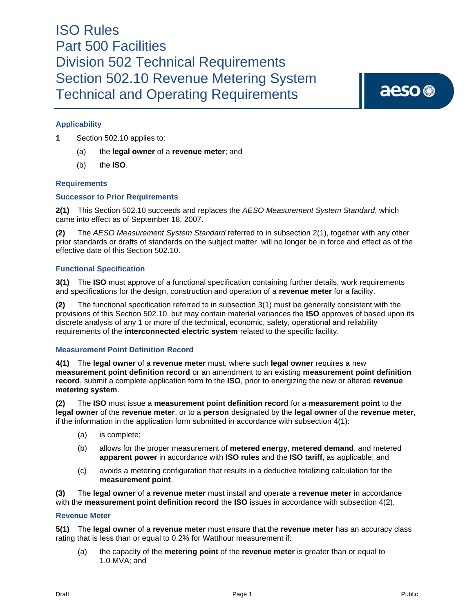aeso<sup>®</sup>

### **Applicability**

**1** Section 502.10 applies to:

- (a) the **legal owner** of a **revenue meter**; and
- (b) the **ISO**.

#### **Requirements**

#### **Successor to Prior Requirements**

**2(1)** This Section 502.10 succeeds and replaces the *AESO Measurement System Standard*, which came into effect as of September 18, 2007.

**(2)** The *AESO Measurement System Standard* referred to in subsection 2(1), together with any other prior standards or drafts of standards on the subject matter, will no longer be in force and effect as of the effective date of this Section 502.10.

#### **Functional Specification**

**3(1)** The **ISO** must approve of a functional specification containing further details, work requirements and specifications for the design, construction and operation of a **revenue meter** for a facility.

**(2)** The functional specification referred to in subsection 3(1) must be generally consistent with the provisions of this Section 502.10, but may contain material variances the **ISO** approves of based upon its discrete analysis of any 1 or more of the technical, economic, safety, operational and reliability requirements of the **interconnected electric system** related to the specific facility.

#### **Measurement Point Definition Record**

**4(1)** The **legal owner** of a **revenue meter** must, where such **legal owner** requires a new **measurement point definition record** or an amendment to an existing **measurement point definition record**, submit a complete application form to the **ISO**, prior to energizing the new or altered **revenue metering system**.

**(2)** The **ISO** must issue a **measurement point definition record** for a **measurement point** to the **legal owner** of the **revenue meter**, or to a **person** designated by the **legal owner** of the **revenue meter**, if the information in the application form submitted in accordance with subsection 4(1):

- (a) is complete;
- (b) allows for the proper measurement of **metered energy**, **metered demand**, and metered **apparent power** in accordance with **ISO rules** and the **ISO tariff**, as applicable; and
- (c) avoids a metering configuration that results in a deductive totalizing calculation for the **measurement point**.

**(3)** The **legal owner** of a **revenue meter** must install and operate a **revenue meter** in accordance with the **measurement point definition record** the **ISO** issues in accordance with subsection 4(2).

#### **Revenue Meter**

**5(1)** The **legal owner** of a **revenue meter** must ensure that the **revenue meter** has an accuracy class rating that is less than or equal to 0.2% for Watthour measurement if:

(a) the capacity of the **metering point** of the **revenue meter** is greater than or equal to 1.0 MVA; and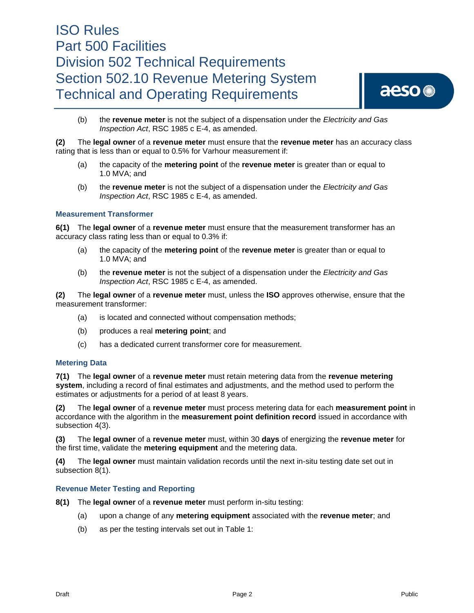

(b) the **revenue meter** is not the subject of a dispensation under the *Electricity and Gas Inspection Act*, RSC 1985 c E-4, as amended.

**(2)** The **legal owner** of a **revenue meter** must ensure that the **revenue meter** has an accuracy class rating that is less than or equal to 0.5% for Varhour measurement if:

- (a) the capacity of the **metering point** of the **revenue meter** is greater than or equal to 1.0 MVA; and
- (b) the **revenue meter** is not the subject of a dispensation under the *Electricity and Gas Inspection Act*, RSC 1985 c E-4, as amended.

#### **Measurement Transformer**

**6(1)** The **legal owner** of a **revenue meter** must ensure that the measurement transformer has an accuracy class rating less than or equal to 0.3% if:

- (a) the capacity of the **metering point** of the **revenue meter** is greater than or equal to 1.0 MVA; and
- (b) the **revenue meter** is not the subject of a dispensation under the *Electricity and Gas Inspection Act*, RSC 1985 c E-4, as amended.

**(2)** The **legal owner** of a **revenue meter** must, unless the **ISO** approves otherwise, ensure that the measurement transformer:

- (a) is located and connected without compensation methods;
- (b) produces a real **metering point**; and
- (c) has a dedicated current transformer core for measurement.

#### **Metering Data**

**7(1)** The **legal owner** of a **revenue meter** must retain metering data from the **revenue metering system**, including a record of final estimates and adjustments, and the method used to perform the estimates or adjustments for a period of at least 8 years.

**(2)** The **legal owner** of a **revenue meter** must process metering data for each **measurement point** in accordance with the algorithm in the **measurement point definition record** issued in accordance with subsection 4(3).

**(3)** The **legal owner** of a **revenue meter** must, within 30 **days** of energizing the **revenue meter** for the first time, validate the **metering equipment** and the metering data.

**(4)** The **legal owner** must maintain validation records until the next in-situ testing date set out in subsection 8(1).

#### **Revenue Meter Testing and Reporting**

**8(1)** The **legal owner** of a **revenue meter** must perform in-situ testing:

- (a) upon a change of any **metering equipment** associated with the **revenue meter**; and
- (b) as per the testing intervals set out in Table 1: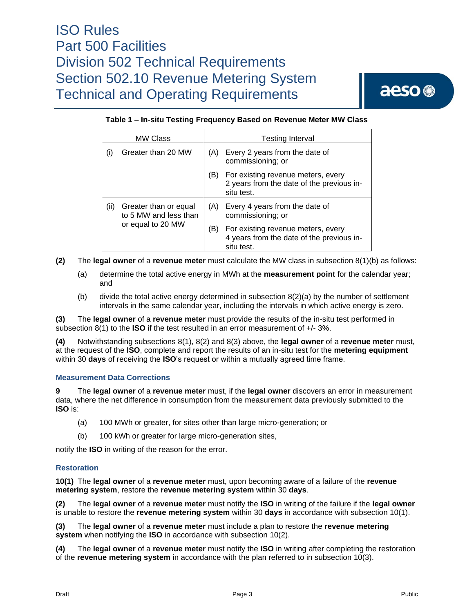aeso<sup>®</sup>

### **Table 1 – In-situ Testing Frequency Based on Revenue Meter MW Class**

| <b>MW Class</b> |                                                                     | Testing Interval |                                                                                               |
|-----------------|---------------------------------------------------------------------|------------------|-----------------------------------------------------------------------------------------------|
| (i)             | Greater than 20 MW                                                  | (A)              | Every 2 years from the date of<br>commissioning; or                                           |
|                 |                                                                     | (B)              | For existing revenue meters, every<br>2 years from the date of the previous in-<br>situ test. |
| (ii)            | Greater than or equal<br>to 5 MW and less than<br>or equal to 20 MW | (A)              | Every 4 years from the date of<br>commissioning; or                                           |
|                 |                                                                     | [B)              | For existing revenue meters, every<br>4 years from the date of the previous in-<br>situ test. |

**(2)** The **legal owner** of a **revenue meter** must calculate the MW class in subsection 8(1)(b) as follows:

- (a) determine the total active energy in MWh at the **measurement point** for the calendar year; and
- (b) divide the total active energy determined in subsection 8(2)(a) by the number of settlement intervals in the same calendar year, including the intervals in which active energy is zero.

**(3)** The **legal owner** of a **revenue meter** must provide the results of the in-situ test performed in subsection 8(1) to the **ISO** if the test resulted in an error measurement of +/- 3%.

**(4)** Notwithstanding subsections 8(1), 8(2) and 8(3) above, the **legal owner** of a **revenue meter** must, at the request of the **ISO**, complete and report the results of an in-situ test for the **metering equipment** within 30 **days** of receiving the **ISO**'s request or within a mutually agreed time frame.

#### **Measurement Data Corrections**

**9** The **legal owner** of a **revenue meter** must, if the **legal owner** discovers an error in measurement data, where the net difference in consumption from the measurement data previously submitted to the **ISO** is:

- (a) 100 MWh or greater, for sites other than large micro-generation; or
- (b) 100 kWh or greater for large micro-generation sites,

notify the **ISO** in writing of the reason for the error.

#### **Restoration**

**10(1)** The **legal owner** of a **revenue meter** must, upon becoming aware of a failure of the **revenue metering system**, restore the **revenue metering system** within 30 **days**.

**(2)** The **legal owner** of a **revenue meter** must notify the **ISO** in writing of the failure if the **legal owner** is unable to restore the **revenue metering system** within 30 **days** in accordance with subsection 10(1).

**(3)** The **legal owner** of a **revenue meter** must include a plan to restore the **revenue metering system** when notifying the **ISO** in accordance with subsection 10(2).

**(4)** The **legal owner** of a **revenue meter** must notify the **ISO** in writing after completing the restoration of the **revenue metering system** in accordance with the plan referred to in subsection 10(3).